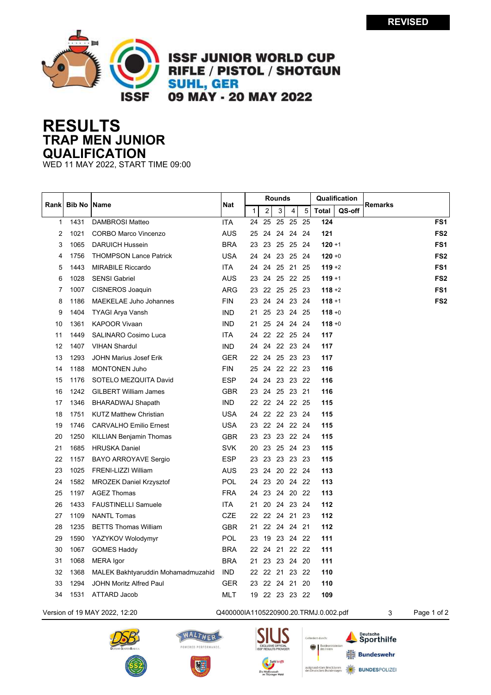

**ISSF JUNIOR WORLD CUP RIFLE / PISTOL / SHOTGUN SUHL, GER** 09 MAY - 20 MAY 2022

## **RESULTS TRAP MEN JUNIOR QUALIFICATION**

WED 11 MAY 2022, START TIME 09:00

| Rank         | <b>Bib No   Name</b> |                                    | Nat        |              | <b>Rounds</b>  |          |                |      |           | Qualification | <b>Remarks</b>  |
|--------------|----------------------|------------------------------------|------------|--------------|----------------|----------|----------------|------|-----------|---------------|-----------------|
|              |                      |                                    |            | $\mathbf{1}$ | $\overline{2}$ | 3        | 4              | 5    | Total     | QS-off        |                 |
| $\mathbf{1}$ | 1431                 | DAMBROSI Matteo                    | <b>ITA</b> | 24           | 25             |          | 25 25          | 25   | 124       |               | FS <sub>1</sub> |
| 2            | 1021                 | <b>CORBO Marco Vincenzo</b>        | <b>AUS</b> | 25           |                |          | 24 24 24 24    |      | 121       |               | FS <sub>2</sub> |
| 3            | 1065                 | <b>DARUICH Hussein</b>             | <b>BRA</b> | 23           | 23             |          | 25 25          | -24  | $120 + 1$ |               | FS <sub>1</sub> |
| 4            | 1756                 | <b>THOMPSON Lance Patrick</b>      | <b>USA</b> | 24           | 24             |          | 23 25          | - 24 | $120 + 0$ |               | FS <sub>2</sub> |
| 5            | 1443                 | <b>MIRABILE Riccardo</b>           | <b>ITA</b> | 24           | 24             |          | 25 21          | 25   | $119 + 2$ |               | FS <sub>1</sub> |
| 6            | 1028                 | <b>SENSI Gabriel</b>               | AUS        | 23           | 24             |          | 25 22 25       |      | $119 + 1$ |               | FS <sub>2</sub> |
| 7            | 1007                 | CISNEROS Joaquin                   | <b>ARG</b> | 23           |                | 22 25 25 |                | - 23 | $118 + 2$ |               | FS <sub>1</sub> |
| 8            | 1186                 | <b>MAEKELAE Juho Johannes</b>      | <b>FIN</b> | 23           | 24             | 24       | 23             | - 24 | $118 + 1$ |               | FS <sub>2</sub> |
| 9            | 1404                 | TYAGI Arya Vansh                   | <b>IND</b> | 21           |                |          | 25 23 24 25    |      | $118 + 0$ |               |                 |
| 10           | 1361                 | <b>KAPOOR Vivaan</b>               | <b>IND</b> | 21           |                |          | 25 24 24 24    |      | $118 + 0$ |               |                 |
| 11           | 1449                 | <b>SALINARO Cosimo Luca</b>        | <b>ITA</b> | 24           |                | 22 22 25 |                | - 24 | 117       |               |                 |
| 12           | 1407                 | <b>VIHAN Shardul</b>               | <b>IND</b> | 24           |                |          | 24 22 23 24    |      | 117       |               |                 |
| 13           | 1293                 | <b>JOHN Marius Josef Erik</b>      | <b>GER</b> | 22           | 24             |          | 25 23 23       |      | 117       |               |                 |
| 14           | 1188                 | <b>MONTONEN Juho</b>               | <b>FIN</b> | 25           |                |          | 24 22 22 23    |      | 116       |               |                 |
| 15           | 1176                 | SOTELO MEZQUITA David              | <b>ESP</b> | 24           |                |          | 24 23 23 22    |      | 116       |               |                 |
| 16           | 1242                 | <b>GILBERT William James</b>       | <b>GBR</b> | 23           |                |          | 24 25 23 21    |      | 116       |               |                 |
| 17           | 1346                 | BHARADWAJ Shapath                  | <b>IND</b> |              |                |          | 22 22 24 22 25 |      | 115       |               |                 |
| 18           | 1751                 | <b>KUTZ Matthew Christian</b>      | <b>USA</b> | 24           |                |          | 22 22 23 24    |      | 115       |               |                 |
| 19           | 1746                 | <b>CARVALHO Emilio Ernest</b>      | <b>USA</b> | 23           |                |          | 22 24 22 24    |      | 115       |               |                 |
| 20           | 1250                 | <b>KILLIAN Benjamin Thomas</b>     | <b>GBR</b> | 23           |                |          | 23 23 22 24    |      | 115       |               |                 |
| 21           | 1685                 | <b>HRUSKA Daniel</b>               | <b>SVK</b> | 20           | 23             |          | 25 24 23       |      | 115       |               |                 |
| 22           | 1157                 | BAYO ARROYAVE Sergio               | <b>ESP</b> | 23           | 23             |          | 23 23 23       |      | 115       |               |                 |
| 23           | 1025                 | FRENI-LIZZI William                | AUS        | 23           | 24             |          | 20 22 24       |      | 113       |               |                 |
| 24           | 1582                 | <b>MROZEK Daniel Krzysztof</b>     | <b>POL</b> | 24           | 23             |          | 20 24 22       |      | 113       |               |                 |
| 25           | 1197                 | <b>AGEZ Thomas</b>                 | <b>FRA</b> | 24           | 23             |          | 24 20 22       |      | 113       |               |                 |
| 26           | 1433                 | <b>FAUSTINELLI Samuele</b>         | <b>ITA</b> | 21           | 20             |          | 24 23 24       |      | 112       |               |                 |
| 27           | 1109                 | <b>NANTL Tomas</b>                 | <b>CZE</b> |              |                |          | 22 22 24 21 23 |      | 112       |               |                 |
| 28           | 1235                 | <b>BETTS Thomas William</b>        | <b>GBR</b> | 21           |                |          | 22 24 24 21    |      | 112       |               |                 |
| 29           | 1590                 | YAZYKOV Wolodymyr                  | <b>POL</b> | 23           | 19             |          | 23 24 22       |      | 111       |               |                 |
| 30           | 1067                 | <b>GOMES Haddy</b>                 | <b>BRA</b> | 22           | 24             |          | 21 22 22       |      | 111       |               |                 |
| 31           | 1068                 | MERA Igor                          | <b>BRA</b> | 21           | 23             |          | 23 24 20       |      | 111       |               |                 |
| 32           | 1368                 | MALEK Bakhtyaruddin Mohamadmuzahid | <b>IND</b> |              |                |          | 22 22 21 23 22 |      | 110       |               |                 |
| 33           | 1294                 | JOHN Moritz Alfred Paul            | <b>GER</b> | 23           |                | 22 24 21 |                | 20   | 110       |               |                 |
| 34           | 1531                 | ATTARD Jacob                       | <b>MLT</b> |              |                |          | 19 22 23 23 22 |      | 109       |               |                 |
|              |                      |                                    |            |              |                |          |                |      |           |               |                 |

Version of 19 MAY 2022, 12:20 Q400000IA1105220900.20.TRMJ.0.002.pdf 3 Page 1 of 2